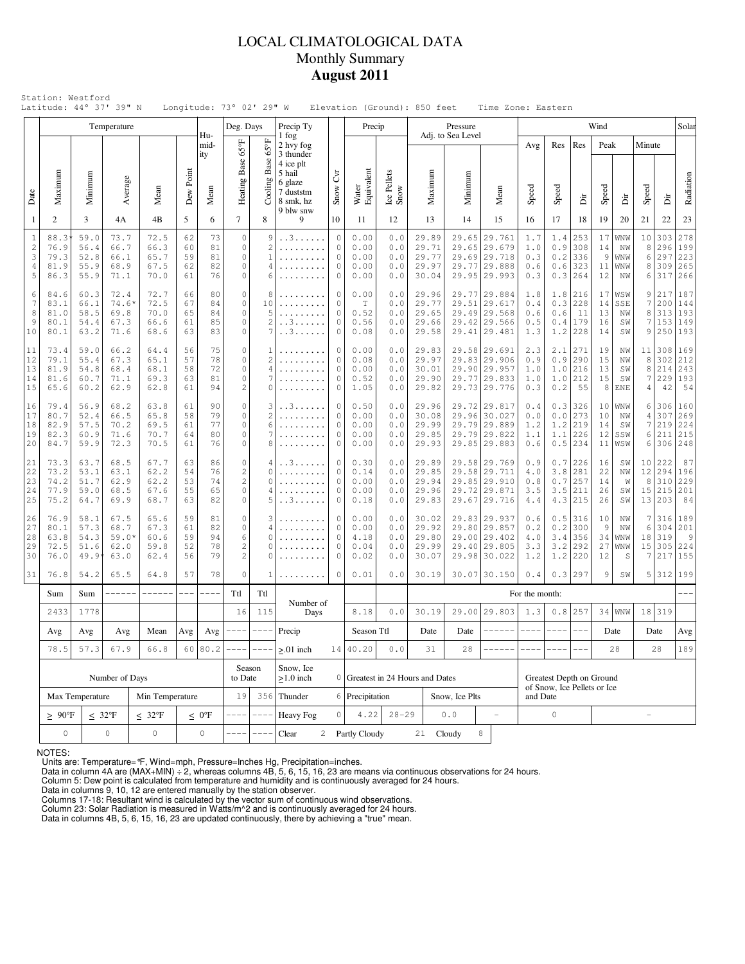## LOCAL CLIMATOLOGICAL DATA Monthly Summary **August 2011**

|                                                                   |                                      |                                                                                                                   | Temperature                             |                                                                                                  |                            |                                                     | Deg. Days                                                         |                                                         | Precip Ty                                                             |                                                      | Precip                               |                                           |                                           | Pressure          |                                                                        |                                                                              |                                 |                                                         |                                               | Wind                         |                                        |                            |                                       | Solar                                      |
|-------------------------------------------------------------------|--------------------------------------|-------------------------------------------------------------------------------------------------------------------|-----------------------------------------|--------------------------------------------------------------------------------------------------|----------------------------|-----------------------------------------------------|-------------------------------------------------------------------|---------------------------------------------------------|-----------------------------------------------------------------------|------------------------------------------------------|--------------------------------------|-------------------------------------------|-------------------------------------------|-------------------|------------------------------------------------------------------------|------------------------------------------------------------------------------|---------------------------------|---------------------------------------------------------|-----------------------------------------------|------------------------------|----------------------------------------|----------------------------|---------------------------------------|--------------------------------------------|
|                                                                   |                                      |                                                                                                                   |                                         |                                                                                                  |                            | Hu-<br>mid-<br>ity                                  |                                                                   | $65^{\circ}$ F                                          | 1 fog<br>2 hvy fog<br>3 thunder                                       |                                                      |                                      |                                           |                                           | Adj. to Sea Level |                                                                        |                                                                              | Avg                             | Res                                                     | Res                                           | Peak                         |                                        | Minute                     |                                       |                                            |
| Date                                                              | Maximum                              | Minimum                                                                                                           | Average                                 | Mean                                                                                             | Dew Point                  | Mean                                                | Heating Base 65°F                                                 | Base<br>Cooling                                         | 4 ice plt<br>5 hail<br>6 glaze<br>7 duststm<br>8 smk, hz<br>9 blw snw | $\mathcal{E}$<br>Snow                                | Water<br>Equivalent                  | Ice Pellets<br>Snow                       | Maximum                                   | Minimum           |                                                                        | Mean                                                                         | Speed                           | Speed                                                   | Èir                                           | Speed                        | ä                                      | Speed                      | ä                                     | Radiation                                  |
| $\mathbf{1}$                                                      | $\overline{2}$                       | 3                                                                                                                 | 4A                                      | 4B                                                                                               | 5                          | 6                                                   | $\overline{7}$                                                    | 8                                                       | 9                                                                     | 10                                                   | 11                                   | 12                                        | 13                                        | 14                |                                                                        | 15                                                                           | 16                              | 17                                                      | 18                                            | 19                           | 20                                     | 21                         | 22                                    | 23                                         |
| $\mathbf{1}$<br>$\sqrt{2}$<br>$\mathbf{3}$<br>$\overline{4}$<br>5 | 88.3<br>76.9<br>79.3<br>81.9<br>86.3 | 59.0<br>56.4<br>52.8<br>55.9<br>55.9                                                                              | 73.7<br>66.7<br>66.1<br>68.9<br>71.1    | 72.5<br>66.3<br>65.7<br>67.5<br>70.0                                                             | 62<br>60<br>59<br>62<br>61 | 73<br>81<br>81<br>82<br>76                          | $\circ$<br>$\circ$<br>$\circ$<br>$\circ$<br>$\circ$               | 9<br>$\overline{c}$<br>$\mathbf{1}$<br>4<br>6           | . . 3<br>.                                                            | $\circ$<br>$\circ$<br>$\circ$<br>$\circ$<br>0        | 0.00<br>0.00<br>0.00<br>0.00<br>0.00 | 0.0<br>0.0<br>0.0<br>0.0<br>0.0           | 29.89<br>29.71<br>29.77<br>29.97<br>30.04 | 29.65<br>29.65    |                                                                        | 29.761<br>29.679<br>29.69 29.718<br>29.77 29.888<br>29.95 29.993             | 1.7<br>1.0<br>0.3<br>0.6<br>0.3 | 1.4<br>0.9<br>0.2<br>0.3                                | 253<br>308<br>336<br>$0.6$   323<br>264       | 17<br>14<br>9<br>11<br>12    | WNW<br>NW<br>WNW<br>WNW<br>ΝW          | 10<br>8<br>6<br>8<br>6     | 303<br>296<br>297<br>309<br>317       | 278<br>199<br>223<br>265<br>266            |
| 6<br>7<br>8<br>9<br>10                                            | 84.6<br>83.1<br>81.0<br>80.1<br>80.1 | 60.3<br>66.1<br>58.5<br>54.4<br>63.2                                                                              | 72.4<br>$74.6*$<br>69.8<br>67.3<br>71.6 | 80<br>72.7<br>66<br>67<br>72.5<br>84<br>70.0<br>65<br>84<br>85<br>66.6<br>61<br>68.6<br>63<br>83 |                            | $\circ$<br>$\circ$<br>$\circ$<br>$\circ$<br>$\circ$ | 8<br>10<br>5<br>$\overline{c}$<br>7                               | . . 3<br>. . 3                                          | $\theta$<br>$\circ$<br>$\circ$<br>$\circ$<br>$\Omega$                 | 0.00<br>Τ<br>0.52<br>0.56<br>0.08                    | 0.0<br>0.0<br>0.0<br>0.0<br>0.0      | 29.96<br>29.77<br>29.65<br>29.66<br>29.58 | 29.49                                     |                   | 29.77 29.884<br>29.51 29.617<br>29.568<br>29.42 29.566<br>29.41 29.481 | 1.8<br>0.4<br>0.6<br>0.5<br>1.3                                              | 1.8<br>0.3<br>0.6<br>1.2        | 216<br>228<br>-11<br>0.4 179<br>1228                    | 17<br>14<br>13<br>16<br>14                    | WSW<br>SSE<br>NW<br>SW<br>SW | 9<br>7<br>8<br>9                       | 217<br>200<br>313<br>7 153 | 187<br>144<br>193<br>149<br>250 193   |                                            |
| 11<br>12<br>13<br>14<br>15                                        | 73.4<br>79.1<br>81.9<br>81.6<br>65.6 | 59.0<br>55.4<br>54.8<br>60.7<br>60.2                                                                              | 66.2<br>67.3<br>68.4<br>71.1<br>62.9    | 64.4<br>65.1<br>68.1<br>69.3<br>62.8                                                             | 56<br>57<br>58<br>63<br>61 | 75<br>78<br>72<br>81<br>94                          | $\circ$<br>$\circ$<br>$\circ$<br>$\circ$<br>$\mathbf{2}$          | 1<br>$\overline{c}$<br>$\overline{4}$<br>7<br>$\Omega$  | .                                                                     | $\circ$<br>$\circ$<br>$\mathbf{0}$<br>0<br>$\circ$   |                                      | 0.0<br>0.0<br>0.0<br>0.0<br>0.0           | 29.83<br>29.97<br>30.01<br>29.90<br>29.82 | 29.77             |                                                                        | 29.58 29.691<br>29.83 29.906<br>29.90 29.957<br>29.833<br>29.73 29.776       | 2.3<br>0.9<br>1.0<br>1.0<br>0.3 | 2.1<br>0.9<br>1.0<br>1.0<br>0.2                         | 271<br>290<br>216<br>212<br>55                | 19<br>15<br>13<br>15<br>8    | NW<br>NW<br>SW<br>SW<br><b>ENE</b>     | 8<br>8<br>7<br>4           | 11 308<br>302<br>214<br>229<br>42     | 169<br>212<br>243<br>193<br>54             |
| 16<br>17<br>18<br>19<br>20                                        | 79.4<br>80.7<br>82.9<br>82.3<br>84.7 | 56.9<br>52.4<br>57.5<br>60.9<br>59.9                                                                              | 68.2<br>66.5<br>70.2<br>71.6<br>72.3    | 63.8<br>65.8<br>69.5<br>70.7<br>70.5                                                             | 61<br>58<br>61<br>64<br>61 | 90<br>79<br>77<br>80<br>76                          | $\circ$<br>$\circ$<br>$\circ$<br>$\circ$<br>$\circ$               | 3<br>$\overline{c}$<br>6<br>7<br>8                      | . . 3                                                                 | 0<br>$\circ$<br>$\circ$<br>$\circ$<br>$\circ$        | 0.50<br>0.00<br>0.00<br>0.00<br>0.00 | 0.0<br>0.0<br>0.0<br>0.0<br>0.0           | 29.96<br>30.08<br>29.99<br>29.85<br>29.93 | 29.96<br>29.79    |                                                                        | 29.72 29.817<br>30.027<br>29.889<br>29.79 29.822<br>29.85 29.883             | 0.4<br>0.0<br>1.2<br>1.1<br>0.6 | 0.3<br>0.0<br>1.2<br>1.1<br>0.5                         | 326<br>273<br>219<br>226<br>234               | 10<br>10<br>14<br>12<br>11   | WNW<br>NW<br>SW<br>SSW<br>WSW          | 6<br>4<br>7<br>6<br>6      | 306<br>307<br>219<br>211<br>306       | 160<br>269<br>224<br>215<br>248            |
| 21<br>22<br>23<br>24<br>25                                        | 73.3<br>73.2<br>74.2<br>77.9<br>75.2 | 63.7<br>53.1<br>51.7<br>59.0<br>64.7                                                                              | 68.5<br>63.1<br>62.9<br>68.5<br>69.9    | 67.7<br>62.2<br>62.2<br>67.6<br>68.7                                                             | 63<br>54<br>53<br>55<br>63 | 86<br>76<br>74<br>65<br>82                          | $\circ$<br>$\overline{c}$<br>$\sqrt{2}$<br>$\mathbb O$<br>$\circ$ | 4<br>$\Omega$<br>$\Omega$<br>4<br>5                     | . . 3<br>.<br>.<br>. . 3                                              | $\theta$<br>$\circ$<br>$\circ$<br>$\circ$<br>$\circ$ | 0.30<br>0.14<br>0.00<br>0.00<br>0.18 | 0.0<br>0.0<br>0.0<br>0.0<br>0.0           | 29.89<br>29.85<br>29.94<br>29.96<br>29.83 |                   |                                                                        | 29.58 29.769<br>29.58 29.711<br>29.85 29.910<br>29.72 29.871<br>29.67 29.716 | 0.9<br>4.0<br>0.8<br>3.5<br>4.4 | 0.71<br>3.8<br>0.7<br>3.5                               | 226<br> 281<br>257<br> 211<br>$4.3$ 215       | 16<br>22<br>14<br>26<br>26   | SW<br>NW<br>W<br>SW<br>SW              | 10<br>12<br>8              | 222<br>294<br>310<br>15 215<br>13 203 | 87<br>196<br>229<br>201<br>84              |
| 26<br>27<br>28<br>29<br>30                                        | 76.9<br>80.1<br>63.8<br>72.5<br>76.0 | 58.1<br>57.3<br>54.3<br>51.6<br>49.9 <sup>°</sup>                                                                 | 67.5<br>68.7<br>$59.0*$<br>62.0<br>63.0 | 65.6<br>67.3<br>60.6<br>59.8<br>62.4                                                             | 59<br>61<br>59<br>52<br>56 | 81<br>82<br>94<br>78<br>79                          | $\circ$<br>$\circ$<br>6<br>$\sqrt{2}$<br>$\overline{2}$           | 3<br>$\overline{4}$<br>$\Omega$<br>$\Omega$<br>$\Omega$ |                                                                       | 0<br>$\circ$<br>$\circ$<br>$\circ$<br>$\circ$        | 0.00<br>0.00<br>4.18<br>0.04<br>0.02 | 0.0<br>0.0<br>0.0<br>0.0<br>0.0           | 30.02<br>29.92<br>29.80<br>29.99<br>30.07 | 29.00<br>29.40    |                                                                        | 29.83 29.937<br>29.80 29.857<br>29.402<br>29.805<br>29.98 30.022             | 0.6<br>0.2<br>4.0<br>3.3<br>1.2 | 0.2<br>3.4<br>3.2                                       | $0.5$   316<br>300<br>356<br>292<br>$1.2$ 220 | 10<br>9<br>34<br>27<br>12    | NW<br>NW<br>WNW<br>$\texttt{WNW}$<br>S | 7<br>6<br>18<br>15<br>7    | 316<br>304<br> 319<br>305<br>217      | 189<br>201<br>$\overline{9}$<br>224<br>155 |
| 31                                                                | 76.8                                 | 54.2                                                                                                              | 65.5                                    | 64.8                                                                                             | 57                         | 78                                                  | $\circ$                                                           | 1                                                       |                                                                       | 0                                                    | 0.01                                 | 0.0                                       | 30.19                                     |                   |                                                                        | 30.07 30.150                                                                 | 0.4                             |                                                         | 0.3 297                                       | 9                            | SW                                     |                            | 5 312                                 | 199                                        |
|                                                                   | Sum                                  | Sum                                                                                                               | ------                                  | ------                                                                                           | $- - -$                    | ----                                                | Ttl                                                               | Ttl                                                     | Number of                                                             |                                                      |                                      |                                           |                                           |                   |                                                                        |                                                                              | For the month:                  |                                                         |                                               |                              |                                        |                            |                                       |                                            |
|                                                                   | 2433                                 | 1778                                                                                                              | 115<br>16<br>Days<br>Mean               |                                                                                                  |                            | 8.18                                                | 0.0                                                               | 30.19                                                   |                                                                       |                                                      | 29.00 29.803                         | 1.3                                       | $0.8$                                     | 257               |                                                                        | $34 $ WNW                                                                    | 18                              | 319                                                     |                                               |                              |                                        |                            |                                       |                                            |
|                                                                   | Avg                                  | Avg                                                                                                               | Avg                                     | Avg                                                                                              | Avg                        | ----<br>----                                        | ----                                                              | Precip                                                  |                                                                       | Season Ttl                                           |                                      | Date                                      | Date                                      |                   | ------                                                                 | $--- - -$                                                                    | ----                            |                                                         |                                               | Date                         |                                        | Date                       | Avg                                   |                                            |
|                                                                   | 78.5                                 | 57.3                                                                                                              | 67.9                                    |                                                                                                  | 66.8<br>60 80.2            |                                                     |                                                                   | $--- - -$<br>Season                                     | $\geq 01$ inch<br>Snow, Ice                                           |                                                      | 14 40.20                             | $0.0$                                     | 31                                        | 28                |                                                                        |                                                                              |                                 |                                                         |                                               |                              | 28                                     |                            | 28                                    | 189                                        |
|                                                                   |                                      |                                                                                                                   | Number of Days                          |                                                                                                  |                            |                                                     | to Date                                                           |                                                         | $\geq$ 1.0 inch                                                       |                                                      |                                      |                                           | 0 Greatest in 24 Hours and Dates          |                   |                                                                        |                                                                              |                                 | Greatest Depth on Ground<br>of Snow, Ice Pellets or Ice |                                               |                              |                                        |                            |                                       |                                            |
|                                                                   |                                      | Max Temperature                                                                                                   |                                         | Min Temperature                                                                                  |                            |                                                     | 19                                                                | 356                                                     | Thunder                                                               |                                                      | 6 Precipitation                      |                                           |                                           | Snow, Ice Plts    |                                                                        |                                                                              | and Date                        |                                                         |                                               |                              |                                        |                            |                                       |                                            |
|                                                                   |                                      | $\leq 32^{\circ}F$<br>$\geq 90^{\circ}$ F<br>$\leq 32^{\circ}F$<br>$\leq 0$ <sup>o</sup> F<br>$\mathsf{O}\xspace$ |                                         |                                                                                                  |                            |                                                     |                                                                   | $---$                                                   | Heavy Fog                                                             | $\circ$                                              | 4.22                                 | $28 - 29$                                 |                                           | $0.0$             |                                                                        | $\overline{\phantom{a}}$                                                     |                                 | $\mathbb O$                                             |                                               |                              |                                        |                            |                                       |                                            |
|                                                                   | $\mathbb O$                          | $\mathsf{O}\xspace$                                                                                               |                                         | $\mathsf{O}\xspace$                                                                              | ----                       | $ -$                                                | Clear                                                             |                                                         | 2 Partly Cloudy                                                       |                                                      |                                      | 21 Cloudy                                 | 8                                         |                   |                                                                        |                                                                              |                                 |                                                         |                                               |                              |                                        |                            |                                       |                                            |

NOTES:

Units are: Temperature=°F, Wind=mph, Pressure=Inches Hg, Precipitation=inches.<br>Data in column 4A are (MAX+MIN) ÷ 2, whereas columns 4B, 5, 6, 15, 16, 23 are means via continuous observations for 24 hours.<br>Column 5: Dew poi

Column 23: Solar Radiation is measured in Watts/m^2 and is continuously averaged for 24 hours. Data in columns 4B, 5, 6, 15, 16, 23 are updated continuously, there by achieving a "true" mean.

Columns 17-18: Resultant wind is calculated by the vector sum of continuous wind observations.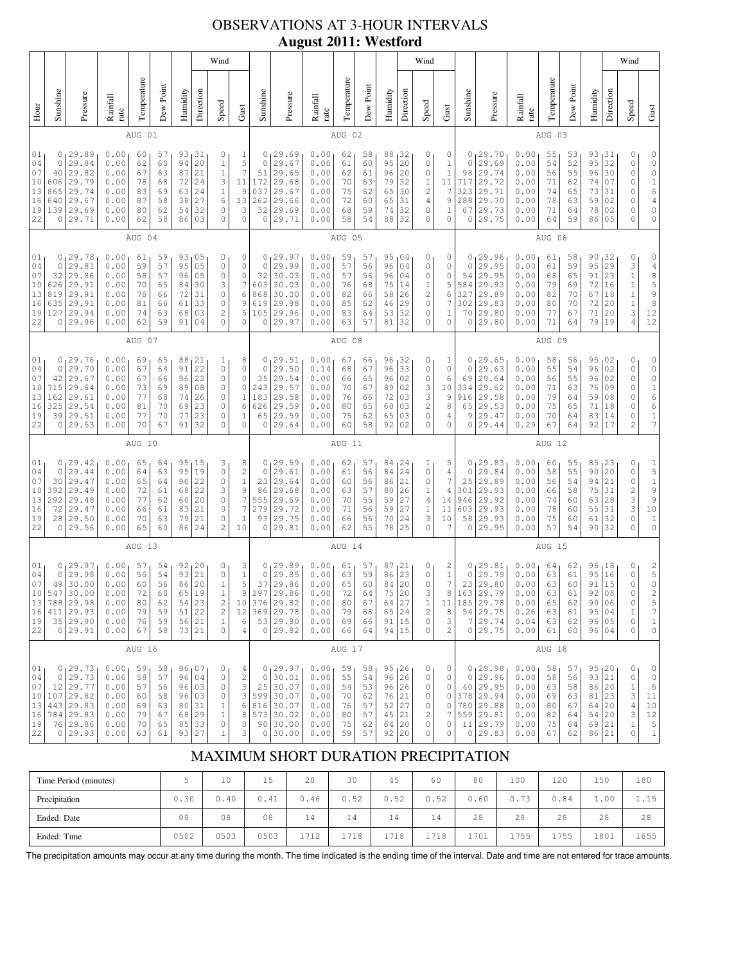# OBSERVATIONS AT 3-HOUR INTERVALS **August 2011: Westford**

|                                                                                                                                                                                                                                                                                                                                                                                                                                                                                                                   |                                                     |                                                                                                      |                                                              |                                              |                                              |                                                |                                                                      | Wind                                                                                       |                                                                                            |                                                           |                                                                                             |                                                              |                                                |                                                                |                                                     |                                              | Wind                                                                           |                                                               |                                                         |                                                                                                      |                                                              |                                              |                                                                |                                                        |                                              | Wind                                                              |                                                                                                                              |
|-------------------------------------------------------------------------------------------------------------------------------------------------------------------------------------------------------------------------------------------------------------------------------------------------------------------------------------------------------------------------------------------------------------------------------------------------------------------------------------------------------------------|-----------------------------------------------------|------------------------------------------------------------------------------------------------------|--------------------------------------------------------------|----------------------------------------------|----------------------------------------------|------------------------------------------------|----------------------------------------------------------------------|--------------------------------------------------------------------------------------------|--------------------------------------------------------------------------------------------|-----------------------------------------------------------|---------------------------------------------------------------------------------------------|--------------------------------------------------------------|------------------------------------------------|----------------------------------------------------------------|-----------------------------------------------------|----------------------------------------------|--------------------------------------------------------------------------------|---------------------------------------------------------------|---------------------------------------------------------|------------------------------------------------------------------------------------------------------|--------------------------------------------------------------|----------------------------------------------|----------------------------------------------------------------|--------------------------------------------------------|----------------------------------------------|-------------------------------------------------------------------|------------------------------------------------------------------------------------------------------------------------------|
| Hour                                                                                                                                                                                                                                                                                                                                                                                                                                                                                                              | Sunshine                                            | Pressure                                                                                             | Rainfall<br>rate                                             | Temperature                                  | Dew Point                                    | Humidity                                       | Direction                                                            | Speed                                                                                      | Gust                                                                                       | Sunshine                                                  | Pressure                                                                                    | Rainfall<br>rate                                             | Temperature                                    | Dew Poin                                                       | Humidity                                            | Direction                                    | Speed                                                                          | Gust                                                          | Sunshine                                                | Pressure                                                                                             | Rainfall<br>rate                                             | Temperature                                  | Dew Point                                                      | Humidity                                               | Direction                                    | Speed                                                             | Gust                                                                                                                         |
|                                                                                                                                                                                                                                                                                                                                                                                                                                                                                                                   |                                                     |                                                                                                      |                                                              | AUG 01                                       |                                              |                                                |                                                                      |                                                                                            |                                                                                            |                                                           |                                                                                             |                                                              | AUG 02                                         |                                                                |                                                     |                                              |                                                                                |                                                               |                                                         |                                                                                                      |                                                              | AUG 03                                       |                                                                |                                                        |                                              |                                                                   |                                                                                                                              |
| 01<br>04<br>07<br>10<br>13<br>16<br>19<br>22                                                                                                                                                                                                                                                                                                                                                                                                                                                                      | 0<br>$\circ$<br>40<br>606<br>865<br>640<br>139<br>0 | 29.89<br>29.84<br>29.82<br>29.79<br>29.74<br>29.67<br>29.69<br>29.71                                 | 0.00<br>0.00<br>0.00<br>0.00<br>0.00<br>0.00<br>0.00<br>0.00 | 60<br>62<br>67<br>78<br>83<br>87<br>80<br>62 | 57<br>60<br>63<br>68<br>69<br>58<br>62<br>58 | 93<br>94<br>87<br>72<br>63<br>38<br>54<br>86   | 31<br>20<br>21<br>24<br>24<br>27<br>32<br>03                         | 0<br>$1\,$<br>$1\,$<br>3<br>$\mathbf{1}$<br>6<br>0<br>$\circ$                              | $\mathbf{1}$<br>5<br>$\overline{7}$<br>11<br>91<br>13<br>3<br>$\circ$                      | 0 <sub>1</sub><br>0<br>51<br>172<br>037<br>262<br>32<br>0 | 29.69<br>29.67<br>29.65<br>29.68<br>29.67<br>29.66<br>29.69<br>29.71                        | 0.00<br>0.00<br>0.00<br>0.00<br>0.00<br>0.00<br>0.00<br>0.00 | 62<br>61<br>62<br>70<br>75<br>72<br>68<br>58   | 58<br>60<br>61<br>63<br>62<br>60<br>59<br>54                   | 88<br>95<br>96<br>79<br>65<br>65<br>74<br>88        | 32<br>20<br>20<br>32<br>30<br>31<br>32<br>32 | 0<br>0<br>0<br>$1\,$<br>$\overline{c}$<br>$\overline{4}$<br>0<br>0             | 0<br>$\mathbf{1}$<br>$1\,$<br>11<br>7<br>9<br>1<br>0          | 0<br>$\mathbf{0}$<br>98<br>717<br>323<br>288<br>67<br>0 | 29.70<br>29<br>.69<br>29.74<br>29.72<br>29.71<br>29.70<br>29.73<br>29.75                             | 0.00<br>0.00<br>0.00<br>0.00<br>0.00<br>0.00<br>0.00<br>0.00 | 55<br>54<br>56<br>71<br>74<br>78<br>71<br>64 | 53<br>52<br>55<br>62<br>65<br>63<br>64<br>59                   | 93<br>95<br>96<br>74<br>73<br>59<br>78<br>86           | 31<br>32<br>30<br>07<br>31<br>02<br>02<br>05 | 0<br>0<br>0<br>0<br>0<br>0<br>0<br>0                              | 0<br>$\mathbb O$<br>$\mathbb O$<br>$\begin{array}{c} 1 \\ 6 \end{array}$<br>$\sqrt{4}$<br>$\mathbb O$<br>$\mathsf{O}\xspace$ |
|                                                                                                                                                                                                                                                                                                                                                                                                                                                                                                                   |                                                     |                                                                                                      |                                                              | AUG 04                                       |                                              |                                                |                                                                      |                                                                                            |                                                                                            |                                                           |                                                                                             |                                                              | AUG 05                                         |                                                                |                                                     |                                              |                                                                                |                                                               |                                                         |                                                                                                      |                                                              | AUG 06                                       |                                                                |                                                        |                                              |                                                                   |                                                                                                                              |
| 0.00<br>93<br>01<br>0<br>29.78<br>61<br>59<br>05<br>0<br>57<br>95<br>$\circ$<br>04<br>29.81<br>0.00<br>59<br>05<br>0<br>29.86<br>05<br>07<br>32<br>0.00<br>58<br>57<br>96<br>0<br>29.91<br>3<br>10<br>626<br>0.00<br>70<br>65<br>84<br>30<br>13<br>29.91<br>$\mathbb O$<br>819<br>0.00<br>76<br>72<br>31<br>66<br>29.91<br>16<br>635<br>0.00<br>81<br>61<br>33<br>0<br>66<br>127 29.94<br>$\overline{2}$<br>19<br>74<br>63<br>03<br>0.00<br>68<br>29.96<br>62<br>59<br>91<br>$\mathbf 0$<br>22<br>0.00<br>04<br>0 |                                                     |                                                                                                      |                                                              |                                              |                                              | 0<br>0<br>0<br>7<br>6<br>9<br>5<br>$\mathbf 0$ | 0<br>0<br>32<br>603<br>868<br>619<br>105<br>0                        | 29.97<br>29.99<br>30.03<br>30.03<br>30.00<br>29.98<br>29.96<br>29.97                       | 0.00<br>0.00<br>0.00<br>0.00<br>0.00<br>0.00<br>0.00<br>0.00                               | 59<br>57<br>57<br>76<br>82<br>85<br>83<br>63              | 57<br>56<br>56<br>68<br>66<br>62<br>64<br>57                                                | 95<br>96<br>96<br>75<br>58<br>46<br>53<br>81                 | 04 ر<br>04<br>04<br>14<br>26<br>29<br>32<br>32 | 0<br>0<br>0<br>$1\,$<br>$\mathbf{2}$<br>0<br>0<br>$\mathbf{0}$ | 0<br>0<br>0<br>5<br>6<br>7<br>1<br>0                | 0<br>0<br>54<br>584<br>327<br>302<br>70<br>0 | 29.96<br>29.95<br>29.95<br>29.93<br>29.89<br>29.83<br>29.80<br>29.80           | 0.00<br>0.00<br>0.00<br>0.00<br>0.00<br>0.00<br>0.00<br>0.00  | 61<br>61<br>68<br>79<br>82<br>80<br>77<br>71            | 58<br>59<br>65<br>69<br>70<br>70<br>67<br>64                                                         | 90<br>95<br>91<br>72<br>67<br>72<br>71<br>79                 | 32<br>29<br>23<br>16<br>18<br>20<br>20<br>19 | 0<br>3<br>$\mathbf 1$<br>$\,1\,$<br>$\,1$<br>$\,1\,$<br>3<br>4 | 0<br>$\sqrt{4}$<br>8598<br>12<br>12                    |                                              |                                                                   |                                                                                                                              |
|                                                                                                                                                                                                                                                                                                                                                                                                                                                                                                                   | AUG 07                                              |                                                                                                      |                                                              |                                              |                                              |                                                |                                                                      |                                                                                            |                                                                                            |                                                           |                                                                                             | AUG 08                                                       |                                                |                                                                |                                                     |                                              |                                                                                |                                                               |                                                         |                                                                                                      | AUG 09                                                       |                                              |                                                                |                                                        |                                              |                                                                   |                                                                                                                              |
| 01<br>04<br>07<br>10<br>13<br>16<br>19<br>22                                                                                                                                                                                                                                                                                                                                                                                                                                                                      | 0<br>$\circ$<br>42<br>715<br>162<br>325             | 129.76<br>29.70<br>29.67<br>29.64<br>29.61<br>29.54<br>39 29.51<br>0 29.53                           | 0.00<br>0.00<br>0.00<br>0.00<br>0.00<br>0.00<br>0.00<br>0.00 | 69<br>67<br>67<br>73<br>77<br>81<br>77<br>70 | 65<br>64<br>66<br>69<br>68<br>70<br>70<br>67 | 88<br>91<br>96<br>89<br>74<br>69<br>77<br>91   | 21<br>22<br>22<br>08<br>26<br>23<br>23<br>32                         | 1<br>$\circ$<br>0<br>0<br>0<br>0<br>0<br>$\mathbf 0$                                       | 8<br>0<br>0<br>$\mathbb O$<br>$\mathbf{1}$<br>6<br>1<br>$\circ$                            | 0<br>$\mathbb O$<br>35<br>243<br>183<br>626<br>65<br>0    | 29.51<br>29.50<br>29.54<br>29.57<br>29.58<br>29.59<br>29.59<br>29.64                        | 0.00<br>0.14<br>0.00<br>0.00<br>0.00<br>0.00<br>0.00<br>0.00 | 67<br>68<br>66<br>70<br>76<br>80<br>75<br>60   | 66<br>67<br>65<br>67<br>66<br>65<br>62<br>58                   | 96, 32<br>96<br>96<br>89<br>72<br>60<br>65<br>92    | 33<br>02<br>02<br>03<br>03<br>03<br>02       | 0<br>0<br>0<br>3<br>3<br>$\sqrt{2}$<br>0<br>0                                  | $\mathbf{1}$<br>0<br>6<br>10<br>9<br>8<br>4<br>0              | 0<br>$\mathbf{0}$<br>69<br>334<br>916<br>65<br>9<br>0   | 29.65<br>29.63<br>29.64<br>29.62<br>29.58<br>29.53<br>29.47<br>29.44                                 | 0.00<br>0.00<br>0.00<br>0.00<br>0.00<br>0.00<br>0.00<br>0.29 | 58<br>55<br>56<br>71<br>79<br>75<br>70<br>67 | 56<br>54<br>55<br>63<br>64<br>65<br>64<br>64                   | 95<br>96<br>96<br>76<br>59<br>71<br>83<br>92           | 02<br>02<br>02<br>09<br>08<br>18<br>14<br>17 | 0<br>0<br>0<br>0<br>$\mathbb O$<br>0<br>0<br>$\overline{c}$       | 0<br>0<br>$\mathbb O$<br>$\,1$<br>6<br>6<br>$\frac{1}{7}$                                                                    |
|                                                                                                                                                                                                                                                                                                                                                                                                                                                                                                                   |                                                     |                                                                                                      |                                                              | AUG 10                                       |                                              |                                                |                                                                      |                                                                                            |                                                                                            |                                                           |                                                                                             |                                                              | AUG 11                                         |                                                                |                                                     |                                              |                                                                                |                                                               |                                                         |                                                                                                      |                                                              | AUG 12                                       |                                                                |                                                        |                                              |                                                                   |                                                                                                                              |
| 01<br>04<br>07<br>$10$<br>13<br>16<br>19<br>22                                                                                                                                                                                                                                                                                                                                                                                                                                                                    | 0<br>$\circ$<br>30<br>392<br>292<br>72<br>0         | 29.42<br>29.44<br>29.47<br>29.49<br>29.48<br>29.47<br>28 29.50<br>29.56                              | 0.00<br>0.00<br>0.00<br>0.00<br>0.00<br>0.00<br>0.00<br>0.00 | 65<br>64<br>65<br>72<br>77<br>66<br>70<br>65 | 64<br>63<br>64<br>61<br>62<br>61<br>63<br>60 | 95<br>95<br>96<br>68<br>60<br>83<br>79<br>86   | 15 ا<br>19<br>22<br>22<br>20<br>21<br>21<br>24                       | 3<br>$\mathbb O$<br>$\circ$<br>3<br>$\mathbb O$<br>0<br>0<br>$\overline{c}$                | 8<br>$\overline{\mathbf{c}}$<br>$\,1\,$<br>9<br>$\overline{7}$<br>7<br>$\mathbf{1}$<br>10  | 0<br>$\mathbb O$<br>23<br>86<br>555<br>279<br>93<br>0     | 129.59<br>29.61<br>29.64<br>29.68<br>29.69<br>29.72<br>29.75<br>29.81                       | 0.00<br>0.00<br>0.00<br>0.00<br>0.00<br>0.00<br>0.00<br>0.00 | 62<br>61<br>60<br>63<br>70<br>71<br>66<br>62   | 57<br>56<br>56<br>57<br>55<br>56<br>56<br>55                   | 84, 24<br>84<br>86<br>80<br>59<br>59<br>70<br>78    | 24<br>21<br>26<br>27<br>27<br>24<br>25       | 1<br>$\mathbb O$<br>0<br>$1\,$<br>4<br>$1\,$<br>3<br>$\mathbf{0}$              | 5<br>4<br>7<br>4<br>14<br>11<br>10<br>7                       | 0<br>0<br>25<br>301<br>946<br>603<br>58<br>0            | 29.83<br>29.84<br>29.89<br>29.93<br>29.92<br>29.93<br>29.93<br>29.95                                 | 0.00<br>0.00<br>0.00<br>0.00<br>0.00<br>0.00<br>0.00<br>0.00 | 60<br>58<br>56<br>66<br>74<br>78<br>75<br>57 | 55<br>55<br>54<br>58<br>60<br>60<br>60<br>54                   | 85<br>90<br>94<br>75<br>63<br>55<br>61<br>90           | 23<br>20<br>21<br>31<br>28<br>31<br>32<br>32 | 0<br>0<br>0<br>$\overline{\mathbf{c}}$<br>3<br>3<br>0<br>0        | $\begin{array}{c} 1 \\ 5 \\ 1 \end{array}$<br>9<br>$\overline{9}$<br>10<br>$\,1\,$<br>$\mathsf{O}\xspace$                    |
|                                                                                                                                                                                                                                                                                                                                                                                                                                                                                                                   | AUG 13                                              |                                                                                                      |                                                              |                                              |                                              |                                                |                                                                      |                                                                                            |                                                                                            |                                                           | AUG 14                                                                                      |                                                              |                                                |                                                                |                                                     |                                              |                                                                                |                                                               |                                                         | AUG 15                                                                                               |                                                              |                                              |                                                                |                                                        |                                              |                                                                   |                                                                                                                              |
| 01<br>04<br>07<br>10<br>13<br>16<br>19<br>22                                                                                                                                                                                                                                                                                                                                                                                                                                                                      | $\circ$<br>547                                      | 0, 29.97<br>29.98<br>49 30.00<br>30.00<br>788 29.98<br>$411 \mid 29.93$<br>35 29.90<br>0 29.91       | 0.00<br>0.00<br>0.00<br>0.00<br>0.00<br>0.00<br>0.00<br>0.00 | 57<br>56<br>60<br>72<br>80<br>79<br>76<br>67 | 54<br>54<br>56<br>60<br>62<br>59<br>59<br>58 | 92<br>93<br>86<br>65<br>54                     | 20<br>21<br>20<br>19<br>23<br>$51$ 22<br>56 21<br>73 21              | 0<br>$\mathbb O$<br>$\,1\,$<br>$\mathbf{1}$<br>$\mathbf{2}$<br>$\mathbf 2$<br>$\,1\,$<br>0 | 3<br>$1\,$<br>5<br>9<br>10<br>12<br>$\epsilon$<br>4                                        | 0<br>$\mathbb O$<br>37<br>297                             | 89.59 <br>29.85<br>29.86<br>29.86<br>376 29.82<br>369 29.78<br>53 29.80<br>0 29.82          | 0.00<br>0.00<br>0.00<br>0.00<br>0.00<br>0.00<br>0.00<br>0.00 | 61<br>63<br>65<br>72<br>80<br>79<br>69<br>66   | 57<br>59<br>60<br>64<br>67<br>66<br>66<br>64                   | 87<br>86<br>84<br>75<br>64<br>65<br>91<br>94 15     | 21<br>23<br>20<br>20<br>27<br>24<br>15       | 0<br>0<br>0<br>3<br>$1\,$<br>$\mathbf{2}$<br>$\mathbb O$<br>0                  | 2<br>$\mathbf{1}$<br>7<br>8<br>11<br>8<br>3<br>$\overline{c}$ | 0<br>$\circ$<br>23                                      | 29.81<br>29.79<br>29.80<br>163 29.79<br>185 29.78<br>54 29.75<br>7 29.74<br>0 29.75                  | 0.00<br>0.00<br>0.00<br>0.00<br>0.00<br>0.26<br>0.04<br>0.00 | 64<br>63<br>63<br>63<br>65<br>63<br>63<br>61 | 62<br>61<br>60<br>61<br>62<br>61<br>62<br>60                   | 96,18<br>95<br>91<br>92<br>90<br>95<br>96<br>96 04     | 16<br>15<br>08<br>06<br>04<br>05             | 0<br>0<br>0<br>0<br>$\mathsf{O}\xspace$<br>$\mathbf 1$<br>0<br>0  | $\begin{array}{c} 2 \\ 5 \end{array}$<br>$\mathbb O$<br>$\overline{c}$<br>5<br>7<br>$\,1\,$<br>$\mathsf{O}\xspace$           |
|                                                                                                                                                                                                                                                                                                                                                                                                                                                                                                                   |                                                     |                                                                                                      |                                                              | AUG 16                                       |                                              |                                                |                                                                      |                                                                                            |                                                                                            |                                                           |                                                                                             |                                                              | AUG 17                                         |                                                                |                                                     |                                              |                                                                                |                                                               |                                                         |                                                                                                      |                                                              | AUG 18                                       |                                                                |                                                        |                                              |                                                                   |                                                                                                                              |
| $01_1$<br>04<br>07<br>10<br>13<br>16<br>19<br>22                                                                                                                                                                                                                                                                                                                                                                                                                                                                  |                                                     | 0, 29.73<br>0 29.73<br>$12 \mid 29.77$<br>107 29.82<br>443 29.83<br>784 29.83<br>76 29.86<br>0 29.93 | 0.00<br>0.06<br>0.00<br>0.00<br>0.00<br>0.00<br>0.00<br>0.00 | 59<br>58<br>57<br>60<br>69<br>79<br>70<br>63 | 58<br>57<br>56<br>58<br>63<br>67<br>65<br>61 |                                                | 96,07<br>96 04<br>96 03<br>96 03<br>80 31<br>68 29<br>85 33<br>93 27 | 0<br>$\mathbb O$<br>0<br>$\mathbb O$<br>$1\,$<br>$1\,$<br>$\mathbb O$<br>$\mathbf 1$       | 4<br>$\mathbf{2}$<br>3<br>$\ensuremath{\mathsf{3}}$<br>$\epsilon$<br>8<br>$\mathbb O$<br>3 | $\circ$                                                   | 0, 29.97<br>0 30.01<br>25 30.07<br>599 30.07<br>816 30.07<br>573 30.02<br>90 30.00<br>30.00 | 0.00<br>0.00<br>0.00<br>0.00<br>0.00<br>0.00<br>0.00<br>0.00 | 59<br>55<br>54<br>70<br>76<br>80<br>75<br>59   | 58<br>54<br>53<br>62<br>57<br>57<br>62<br>57                   | 95, 26<br>96<br>96 26<br>76<br>52<br>45<br>64<br>92 | 26<br>21<br>27<br> 21<br>20<br>20            | 0<br>$\mathbb O$<br>0<br>0<br>0<br>$\overline{\mathbf{c}}$<br>$\mathbb O$<br>0 | 0<br>0<br>0<br>0<br>0<br>7<br>0<br>0                          |                                                         | 0, 29.98<br>0 29.96<br>40 29.95<br>378 29.94<br>780 29.88<br>559 29.81<br>11 29.79<br>$0 \mid 29.83$ | 0.00<br>0.00<br>0.00<br>0.00<br>0.00<br>0.00<br>0.00<br>0.00 | 58<br>58<br>63<br>69<br>80<br>82<br>75<br>67 | 57<br>56<br>58<br>63<br>67<br>64<br>64<br>62                   | 95, 20<br>93<br>86<br>81<br>64<br>54<br>69 21<br>86 21 | 21<br>20<br>23<br>20<br>20                   | 0<br>0<br>$\mathbf 1$<br>3<br>$\sqrt{4}$<br>3<br>$\mathbf 1$<br>0 | $\circ$<br>$\mathbb O$<br>6<br>11<br>$1\,0$<br>$12$<br>$\mathsf S$<br>$\,1$                                                  |

## MAXIMUM SHORT DURATION PRECIPITATION

| Time Period (minutes) |      | 10   | 15   | 20   | 30   | 45          | 60   | 80   | 100  | 120  | 150  | 180  |
|-----------------------|------|------|------|------|------|-------------|------|------|------|------|------|------|
| Precipitation         | 0.30 | 0.40 | 0.41 | , 46 | 0.52 | 0.52        | 0.52 | 0.60 | 0.73 | 0.84 | 1.00 | 1.15 |
| Ended: Date           | 08   | 08   | 08   | 14   | 14   | 14          | 14   | 28   | 28   | 28   | 28   | 28   |
| Ended: Time           | 0502 | 0503 | 0503 | 1712 | 718  | <b>1718</b> | 1718 | .701 | 1755 | 1755 | 1801 | 1655 |

The precipitation amounts may occur at any time during the month. The time indicated is the ending time of the interval. Date and time are not entered for trace amounts.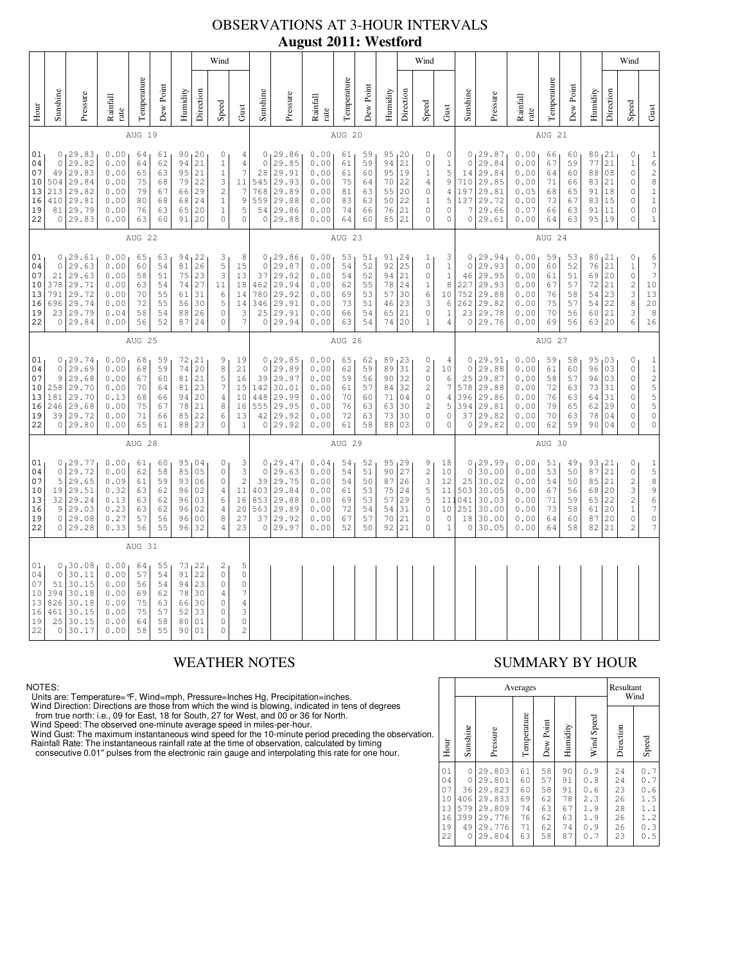## OBSERVATIONS AT 3-HOUR INTERVALS **August 2011: Westford**

|                                              |                                                                                                                                                                                                                                                                                                                                                                                                                                                                     |                                                                             |                                                              |                                              |                                              |                                                        |                                                             | Wind                                                                                       |                                                                                                    |                                                                         | o                                                                        |                                                               |                                              |                                                                         |                                                                         |                                                                                           | Wind                                                                                                          |                                                                                           |                                                                         |                                                                           |                                                                        |                                               |                                                                   |                                                                                            |                                                                                                           | Wind                                                                                                                                 |                                                                                                    |
|----------------------------------------------|---------------------------------------------------------------------------------------------------------------------------------------------------------------------------------------------------------------------------------------------------------------------------------------------------------------------------------------------------------------------------------------------------------------------------------------------------------------------|-----------------------------------------------------------------------------|--------------------------------------------------------------|----------------------------------------------|----------------------------------------------|--------------------------------------------------------|-------------------------------------------------------------|--------------------------------------------------------------------------------------------|----------------------------------------------------------------------------------------------------|-------------------------------------------------------------------------|--------------------------------------------------------------------------|---------------------------------------------------------------|----------------------------------------------|-------------------------------------------------------------------------|-------------------------------------------------------------------------|-------------------------------------------------------------------------------------------|---------------------------------------------------------------------------------------------------------------|-------------------------------------------------------------------------------------------|-------------------------------------------------------------------------|---------------------------------------------------------------------------|------------------------------------------------------------------------|-----------------------------------------------|-------------------------------------------------------------------|--------------------------------------------------------------------------------------------|-----------------------------------------------------------------------------------------------------------|--------------------------------------------------------------------------------------------------------------------------------------|----------------------------------------------------------------------------------------------------|
| Hour                                         | Sunshine                                                                                                                                                                                                                                                                                                                                                                                                                                                            | Pressure                                                                    | Rainfall<br>rate                                             | Temperature                                  | Dew Point                                    | Humidity                                               | Direction                                                   | Speed                                                                                      | Gust                                                                                               | Sunshine                                                                | Pressure                                                                 | Rainfall<br>rate                                              | Temperature                                  | Dew Point                                                               | Humidity                                                                | Direction                                                                                 | Speed                                                                                                         | Gust                                                                                      | Sunshine                                                                | Pressure                                                                  | Rainfall<br>rate                                                       | Temperature                                   | Dew Point                                                         | Humidity                                                                                   | Direction                                                                                                 | Speed                                                                                                                                | Gust                                                                                               |
|                                              |                                                                                                                                                                                                                                                                                                                                                                                                                                                                     |                                                                             |                                                              | AUG 19                                       |                                              |                                                        |                                                             |                                                                                            |                                                                                                    |                                                                         |                                                                          |                                                               | AUG 20                                       |                                                                         |                                                                         |                                                                                           |                                                                                                               |                                                                                           |                                                                         |                                                                           |                                                                        | AUG 21                                        |                                                                   |                                                                                            |                                                                                                           |                                                                                                                                      |                                                                                                    |
| 01<br>04<br>07<br>10<br>13<br>16<br>19<br>22 | 0, 29.83<br>0.00<br>90, 20<br>$\circ$<br>64<br>61<br>29.82<br>21<br>$\circ$<br>0.00<br>64<br>62<br>94<br>$1\,$<br>49<br>29.83<br>0.00<br>65<br>63<br>95<br>21<br>$\,1\,$<br>504<br>29.84<br>0.00<br>75<br>79<br>22<br>3<br>68<br>$\sqrt{2}$<br>213<br>29.82<br>0.00<br>79<br>66<br>29<br>67<br>$\,1\,$<br>29.81<br>0.00<br>68<br>24<br>410<br>80<br>68<br>81 29.79<br>0.00<br>76<br>65<br>20<br>$\,1\,$<br>63<br>0 29.83<br>20<br>$\circ$<br>0.00<br>63<br>60<br>91 |                                                                             |                                                              |                                              |                                              |                                                        |                                                             | 4<br>4<br>7<br>11<br>$\overline{7}$<br>$\mathsf 9$<br>5<br>$\mathbf 0$                     | $\circ$<br>28<br>545<br>768<br>559<br>54<br>$\circ$                                                | 0, 29.86<br>29.85<br>29.91<br>29.93<br>29.89<br>29.88<br>29.86<br>29.88 | 0.00<br>0.00<br>0.00<br>0.00<br>0.00<br>0.00<br>0.00<br>0.00             | 61<br>61<br>61<br>75<br>81<br>83<br>74<br>64                  | 59<br>59<br>60<br>64<br>63<br>63<br>66<br>60 | 95, 20<br>94<br>95<br>70<br>55<br>50<br>76<br>85                        | 21<br> 19<br>22<br>20<br>22<br>21<br>21                                 | 0<br>0<br>$\mathbf 1$<br>$\overline{4}$<br>$\mathbb O$<br>$\mathbf 1$<br>$\mathbb O$<br>0 | 0<br>$\mathbf 1$<br>5<br>9<br>$\overline{4}$<br>5<br>0<br>$\circ$                                             | $\circ$<br>14<br>710<br>197<br>137<br>7<br>$\circ$                                        | 0, 29.87<br>29.84<br>29.84<br>29.85<br>29.81<br>29.72<br>29.66<br>29.61 | 0.00 <sub>1</sub><br>0.00<br>0.00<br>0.00<br>0.05<br>0.00<br>0.07<br>0.00 | 66<br>67<br>64<br>71<br>68<br>73<br>66<br>64                           | 60<br>59<br>60<br>66<br>65<br>67<br>63<br>63  | 80<br>77<br>88<br>83<br>91<br>83<br>91<br>95                      | 121<br>21<br>08<br>21<br>18<br>15<br>11<br> 19                                             | $\mathbb O$<br>$\,1\,$<br>$\circ$<br>$\mathbb O$<br>$\mathbb O$<br>$\mathbb O$<br>$\mathbf 0$<br>$\Omega$ | $\mathbf 1$<br>$\overline{6}$<br>$\frac{2}{8}$<br>$\frac{1}{1}$<br>$\mathsf{O}\xspace$<br>$\mathbbm{1}$                              |                                                                                                    |
|                                              | AUG 22                                                                                                                                                                                                                                                                                                                                                                                                                                                              |                                                                             |                                                              |                                              |                                              |                                                        |                                                             | AUG 23                                                                                     |                                                                                                    |                                                                         |                                                                          |                                                               |                                              |                                                                         | AUG 24                                                                  |                                                                                           |                                                                                                               |                                                                                           |                                                                         |                                                                           |                                                                        |                                               |                                                                   |                                                                                            |                                                                                                           |                                                                                                                                      |                                                                                                    |
| 01<br>04<br>07<br>10<br>13<br>16<br>19<br>22 | 0.00<br>0, 29.61<br>94<br>122<br>$\frac{3}{5}$<br>65<br>63<br>26<br>29.63<br>0.00<br>54<br>81<br>$\circ$<br>60<br>23<br>3<br>21<br>29.63<br>0.00<br>51<br>75<br>58<br>378<br>29.71<br>0.00<br>54<br>74<br>27<br>11<br>63<br>791<br>29.72<br>0.00<br>31<br>70<br>55<br>61<br>6<br>29.74<br>0.00<br>72<br>30<br>5<br>696<br>55<br>56<br>23 29.79<br>0.04<br>58<br>54<br>88<br>26<br>$\circ$<br>0.00<br>56<br>52<br>24<br>$\Omega$<br>0 29.84<br>87                    |                                                                             |                                                              |                                              |                                              | 8<br>15<br>13<br>18<br>14<br>14<br>3<br>$\overline{7}$ | $\circ$<br>37<br>462<br>780<br>346<br>25<br>$\circ$         | 0, 29.86<br>29.87<br>29.92<br>29.94<br>29.92<br>29.91<br>29.91<br>29.94                    | 0.00<br>0.00<br>0.00<br>0.00<br>0.00<br>0.00<br>0.00<br>0.00                                       | 53<br>54<br>54<br>62<br>69<br>73<br>66<br>63                            | 51<br>52<br>52<br>55<br>53<br>51<br>54<br>54                             | 91, 24<br>$92 \mid 25$<br>94 21<br>78<br>57<br>46<br>65<br>74 | 24<br>30<br>23<br>21<br>20                   | 1<br>$\mathbb O$<br>0<br>$\,1$<br>6<br>3<br>$\mathbb O$<br>$\mathbf{1}$ | 3<br>$\mathbf 1$<br>$\mathbf{1}$<br>8<br>10<br>6<br>$\,1$<br>$\sqrt{4}$ | $\circ$<br>46<br>227<br>752<br>262<br>23                                                  | 0, 29.94<br>29.93<br>29.95<br>29.93<br>29.88<br>29.82<br>29.78<br>0 29.76                                     | 0.00<br>0.00<br>0.00<br>0.00<br>0.00<br>0.00<br>0.00<br>0.00                              | 59<br>60<br>61<br>67<br>76<br>75<br>70<br>69                            | 53<br>52<br>51<br>57<br>58<br>57<br>56<br>56                              | 80<br>76<br>69<br>72<br>54<br>54<br>60<br>63                           | 121<br>21<br>20<br>21<br>23<br>22<br>21<br>20 | $\mathbb O$<br>$1\,$<br>$\circ$<br>$\sqrt{2}$<br>3<br>8<br>3<br>6 | 6<br>$\overline{\phantom{a}}$<br>$\boldsymbol{7}$<br>$10$<br>13<br>20<br>$\,$ 8 $\,$<br>16 |                                                                                                           |                                                                                                                                      |                                                                                                    |
|                                              |                                                                                                                                                                                                                                                                                                                                                                                                                                                                     |                                                                             |                                                              | AUG 25                                       |                                              |                                                        |                                                             |                                                                                            |                                                                                                    | AUG 26                                                                  |                                                                          |                                                               |                                              |                                                                         |                                                                         |                                                                                           | AUG 27                                                                                                        |                                                                                           |                                                                         |                                                                           |                                                                        |                                               |                                                                   |                                                                                            |                                                                                                           |                                                                                                                                      |                                                                                                    |
| 01<br>04<br>07<br>10<br>13<br>16<br>19<br>22 | $\circ$<br>9<br>258<br>181<br>246<br>39                                                                                                                                                                                                                                                                                                                                                                                                                             | 0, 29.74<br>29.69<br>29.68<br>29.70<br>29.70<br>29.68<br> 29.72<br>0 29.80  | 0.00<br>0.00<br>0.00<br>0.00<br>0.13<br>0.00<br>0.00<br>0.00 | 68<br>68<br>67<br>70<br>68<br>75<br>71<br>65 | 59<br>59<br>60<br>64<br>66<br>67<br>66<br>61 | 72<br>74<br>81<br>81<br>94<br>78<br>85<br>88           | 21<br>20<br>21<br>23<br>20<br>21<br>22<br>23                | 9<br>$\,8\,$<br>5<br>$\boldsymbol{7}$<br>$\overline{4}$<br>8<br>6<br>$\Omega$              | 19<br>21<br>16<br>15<br>10<br>16<br>13<br>$\mathbf{1}$                                             | 0<br>$\circ$<br>39<br>142<br>448<br>555<br>42<br>$\circ$                | 129.85<br>29.89<br>29.97<br>30.01<br>29.99<br>29.95<br>29.92<br>29.92    | 0.00<br>0.00<br>0.00<br>0.00<br>0.00<br>0.00<br>0.00<br>0.00  | 65<br>62<br>59<br>61<br>70<br>76<br>72<br>61 | 62<br>59<br>56<br>57<br>60<br>63<br>63<br>58                            | 89<br>89<br>90<br>84<br>71<br>63<br>73<br>88                            | 123<br>31<br>32<br>32<br>04<br>30<br>30<br>03                                             | 0<br>$\overline{c}$<br>$\mathbf 0$<br>$\overline{c}$<br>$\mathbb O$<br>$\sqrt{2}$<br>$\mathsf{O}\xspace$<br>0 | 4<br>10<br>6<br>$\boldsymbol{7}$<br>$\overline{4}$<br>5<br>$\mathsf{O}\xspace$<br>$\circ$ | $\circ$<br>25<br>578<br>396<br>394<br>37<br>$\circ$                     | 0, 29.91<br>29.88<br>29.87<br>29.88<br>29.86<br>29.81<br>29.82<br>29.82   | 0.00<br>0.00<br>0.00<br>0.00<br>$0\,$ . $0\,0$<br>0.00<br>0.00<br>0.00 | 59<br>61<br>58<br>72<br>76<br>79<br>70<br>62  | 58<br>60<br>57<br>63<br>63<br>65<br>63<br>59                      | 95<br>96<br>96<br>73<br>64<br>62<br>78<br>90                                               | 03<br>03<br>03<br>31<br>31<br>29<br>04<br>04                                                              | $\mathbf 0$<br>$\mathbb O$<br>$\mathbb O$<br>$\mathbf 0$<br>$\mathbb O$<br>$\mathbf 0$<br>$\mathbf 0$<br>$\mathbf 0$                 | $1\,$<br>$\mathbf 1$<br>$\overline{c}$<br>$\frac{5}{5}$<br>5<br>$\mathbb O$<br>$\mathsf{O}\xspace$ |
|                                              |                                                                                                                                                                                                                                                                                                                                                                                                                                                                     |                                                                             |                                                              | AUG 28                                       |                                              |                                                        |                                                             |                                                                                            |                                                                                                    |                                                                         |                                                                          |                                                               | AUG 29                                       |                                                                         |                                                                         |                                                                                           |                                                                                                               |                                                                                           |                                                                         |                                                                           |                                                                        | AUG 30                                        |                                                                   |                                                                                            |                                                                                                           |                                                                                                                                      |                                                                                                    |
| 01<br>04<br>07<br>10<br>13<br>16<br>19<br>22 | $\mathbb O$<br>5<br>19<br>32<br>9                                                                                                                                                                                                                                                                                                                                                                                                                                   | 0, 29.77<br>29.72<br>29.65<br>29.51<br>29.24<br>29.03<br>0 29.08<br>0 29.28 | 0.00<br>0.00<br>0.09<br>0.32<br>0.13<br>0.23<br>0.27<br>0.33 | 61<br>62<br>61<br>63<br>63<br>63<br>57<br>56 | 60<br>58<br>59<br>62<br>62<br>62<br>56<br>55 | 85<br>93<br>96<br>96<br>96<br>96<br>96                 | 95,04<br>05<br>06<br>02<br>03<br>02<br>0 <sub>0</sub><br>32 | 0<br>$\mathbb O$<br>$\mathbb O$<br>$\overline{4}$<br>6<br>4<br>8<br>4                      | 3<br>$\mathsf 3$<br>$\overline{c}$<br>11<br>16<br>20<br>27<br>23                                   | $\mathbf 0$<br>39<br>403<br>853<br>563<br>37<br>0                       | 0, 29, 47<br>29.63<br>29.75<br>29.84<br>29.88<br>29.89<br>29.92<br>29.97 | 0.04<br>0.00<br>0.00<br>0.00<br>0.00<br>0.00<br>0.00<br>0.00  | 54<br>54<br>54<br>61<br>69<br>72<br>67<br>52 | 52<br>51<br>50<br>53<br>53<br>54<br>57<br>50                            | 95, 29<br>90<br>87<br>75<br>57<br>54<br>70<br>92                        | 27<br>26<br>24<br>29<br>31<br>21<br>21                                                    | 9<br>$\sqrt{2}$<br>3<br>5<br>5<br>$\circ$<br>$\mathsf{O}\xspace$<br>0                                         | 18<br>10<br>12<br>11<br>11<br>10<br>$\circ$<br>$\mathbf{1}$                               | $\circ$<br>25<br>503<br>041<br>251<br>18<br>0                           | 0, 29.99<br>30.00<br>30.02<br>30.05<br>30.03<br>30.00<br>30.00<br>30.05   | 0.00<br>0.00<br>0.00<br>0.00<br>0.00<br>0.00<br>0.00<br>0.00           | 51<br>53<br>54<br>67<br>71<br>73<br>64<br>64  | 49<br>50<br>50<br>56<br>59<br>58<br>60<br>58                      | 93, 21<br>87<br>85<br>68<br>65<br>61<br>87<br>82                                           | 21<br>21<br>20<br>22<br>20<br>20<br>21                                                                    | 0<br>$\mathbb O$<br>$\overline{\mathbf{c}}$<br>$\ensuremath{\mathsf{3}}$<br>$\overline{2}$<br>$\,1$<br>$\mathbb O$<br>$\overline{c}$ | $\begin{array}{c} 1 \\ 5 \\ 8 \end{array}$<br>9<br>6<br>7<br>$\mathsf{O}$<br>$\overline{7}$        |
|                                              |                                                                                                                                                                                                                                                                                                                                                                                                                                                                     |                                                                             |                                                              | AUG 31                                       |                                              |                                                        |                                                             |                                                                                            |                                                                                                    |                                                                         |                                                                          |                                                               |                                              |                                                                         |                                                                         |                                                                                           |                                                                                                               |                                                                                           |                                                                         |                                                                           |                                                                        |                                               |                                                                   |                                                                                            |                                                                                                           |                                                                                                                                      |                                                                                                    |
| 01<br>04<br>07<br>10<br>13<br>16<br>19<br>22 | $\circ$<br>51<br>394<br>826<br>461<br>25                                                                                                                                                                                                                                                                                                                                                                                                                            | 0, 30, 08<br>30.11<br>30.15<br>30.18<br>30.18<br>30.15<br>30.15<br>0130.17  | 0.00<br>0.00<br>0.00<br>0.00<br>0.00<br>0.00<br>0.00<br>0.00 | 64<br>57<br>56<br>69<br>75<br>75<br>64<br>58 | 55<br>54<br>54<br>62<br>63<br>57<br>58<br>55 | 91<br>94<br>78<br>66<br>52<br>80<br>90                 | 73, 22<br>22<br>23<br>30<br>30<br>33<br>01<br>01            | 2<br>$\circ$<br>$\mathbb O$<br>$\overline{4}$<br>$\circ$<br>$\circ$<br>$\circ$<br>$\Omega$ | 5<br>$\mathbb O$<br>$\mathbb O$<br>$\boldsymbol{7}$<br>$\sqrt{4}$<br>3<br>$\circ$<br>$\mathcal{D}$ |                                                                         |                                                                          |                                                               |                                              |                                                                         |                                                                         |                                                                                           |                                                                                                               |                                                                                           |                                                                         |                                                                           |                                                                        |                                               |                                                                   |                                                                                            |                                                                                                           |                                                                                                                                      |                                                                                                    |

NOTES:

Units are: Temperature= °F, Wind=mph, Pressure=lnches Hg, Precipitation=inches.<br>Wind Direction: Directions are those from which the wind is blowing, indicated in tens of degrees<br>from true north: i.e., 09 for East, 18 for S

## WEATHER NOTES SUMMARY BY HOUR

|                                              |                                                    | Averages                                                                     | Resultant                                    | Wind                                         |                                              |                                                      |                                              |                                                      |
|----------------------------------------------|----------------------------------------------------|------------------------------------------------------------------------------|----------------------------------------------|----------------------------------------------|----------------------------------------------|------------------------------------------------------|----------------------------------------------|------------------------------------------------------|
| Hour                                         | Sunshine                                           | Pressure                                                                     | Temperature                                  | Dew Point                                    | Humidity                                     | Wind Speed                                           | Direction                                    | Speed                                                |
| 01<br>04<br>07<br>10<br>13<br>16<br>19<br>22 | $\circ$<br>0<br>36<br>406<br>579<br>399<br>49<br>0 | 29.803<br>29.801<br>29.823<br>29.833<br>29.809<br>29.776<br>29.776<br>29.804 | 61<br>60<br>60<br>69<br>74<br>76<br>71<br>63 | 58<br>57<br>58<br>62<br>63<br>62<br>62<br>58 | 90<br>91<br>91<br>78<br>67<br>63<br>74<br>87 | 0.9<br>0.8<br>0.6<br>2.3<br>1.9<br>1.9<br>0.9<br>0.7 | 24<br>24<br>23<br>26<br>28<br>26<br>26<br>23 | 0.7<br>0.7<br>0.6<br>1.5<br>1.1<br>1.2<br>0.3<br>0.5 |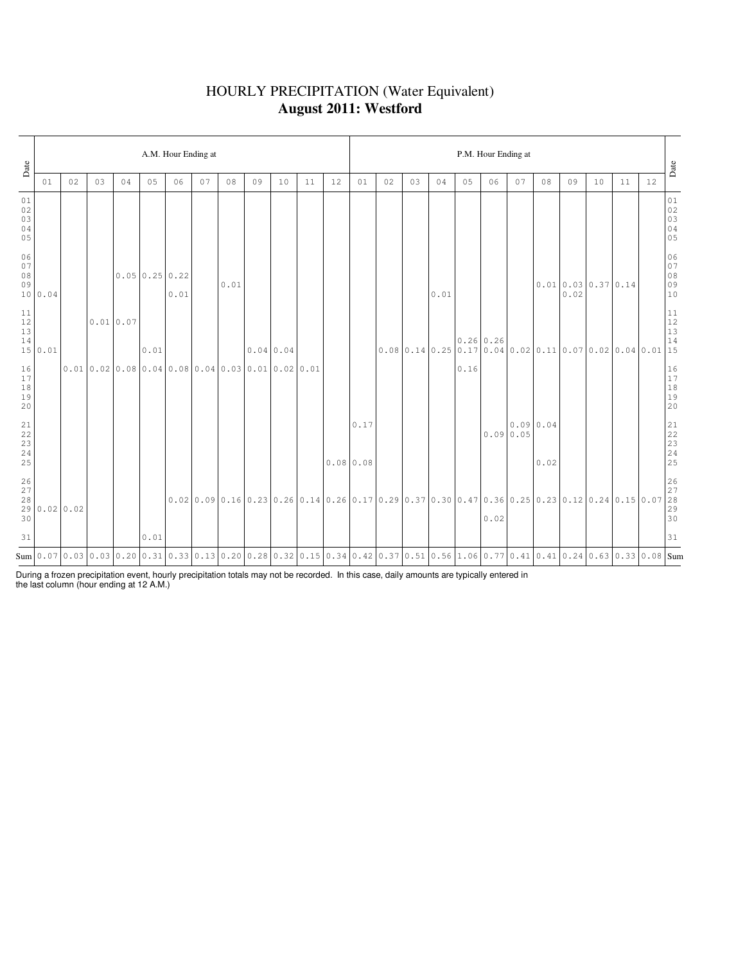### HOURLY PRECIPITATION (Water Equivalent) **August 2011: Westford**

| Date                                                      |              |    |    |                                                                                                                                                |                            | A.M. Hour Ending at |    |      |                                                                                                                                                                          |                  |    |    |                  |    |    |      |      | P.M. Hour Ending at |    |                   |      |                       |    |    | Date                                                             |
|-----------------------------------------------------------|--------------|----|----|------------------------------------------------------------------------------------------------------------------------------------------------|----------------------------|---------------------|----|------|--------------------------------------------------------------------------------------------------------------------------------------------------------------------------|------------------|----|----|------------------|----|----|------|------|---------------------|----|-------------------|------|-----------------------|----|----|------------------------------------------------------------------|
|                                                           | 01           | 02 | 03 | 04                                                                                                                                             | 05                         | 06                  | 07 | 08   | 09                                                                                                                                                                       | 10               | 11 | 12 | 01               | 02 | 03 | 04   | 05   | 06                  | 07 | 08                | 09   | 10                    | 11 | 12 |                                                                  |
| 01<br>02<br>03<br>04<br>05                                |              |    |    |                                                                                                                                                |                            |                     |    |      |                                                                                                                                                                          |                  |    |    |                  |    |    |      |      |                     |    |                   |      |                       |    |    | 01<br>02<br>03<br>04<br>05                                       |
| 06<br>07<br>08<br>09                                      | 10 0.04      |    |    |                                                                                                                                                | $0.05 \mid 0.25 \mid 0.22$ | 0.01                |    | 0.01 |                                                                                                                                                                          |                  |    |    |                  |    |    | 0.01 |      |                     |    |                   | 0.02 | $0.01$ 0.03 0.37 0.14 |    |    | 06<br>07<br>08<br>09<br>09<br>10                                 |
| 11<br>$12$<br>13<br>14                                    | 15 0.01      |    |    | 0.010.07                                                                                                                                       | 0.01                       |                     |    |      |                                                                                                                                                                          | $0.04 \mid 0.04$ |    |    |                  |    |    |      |      |                     |    |                   |      |                       |    |    |                                                                  |
| 16<br>17<br>18<br>19<br>20                                |              |    |    | $0.010.020.080.040.080.040.030.010.020.01$                                                                                                     |                            |                     |    |      |                                                                                                                                                                          |                  |    |    |                  |    |    |      | 0.16 |                     |    |                   |      |                       |    |    | $\begin{array}{c} 16 \\ 17 \\ 18 \\ 19 \\ 20 \end{array}$        |
| $\begin{array}{c} 21 \\ 22 \end{array}$<br>23<br>24<br>25 |              |    |    |                                                                                                                                                |                            |                     |    |      |                                                                                                                                                                          |                  |    |    | 0.17<br>0.080.08 |    |    |      |      | 0.090.05            |    | 0.0900.04<br>0.02 |      |                       |    |    | 21<br>22<br>23<br>24<br>25                                       |
| $\frac{26}{27}$<br>28<br>30                               | 29 0.02 0.02 |    |    |                                                                                                                                                |                            |                     |    |      | $0.02$   $0.09$   $0.16$   $0.23$   $0.26$   $0.14$   $0.26$   $0.17$   $0.29$   $0.37$   $0.30$   $0.47$   $0.36$   $0.25$   $0.23$   $0.12$   $0.24$   $0.15$   $0.07$ |                  |    |    |                  |    |    |      |      | 0.02                |    |                   |      |                       |    |    | $\begin{array}{ c c }\n 26 \\ 27 \\ 28 \\ 29 \\ 30\n\end{array}$ |
| 31                                                        |              |    |    |                                                                                                                                                | 0.01                       |                     |    |      |                                                                                                                                                                          |                  |    |    |                  |    |    |      |      |                     |    |                   |      |                       |    |    | 31                                                               |
|                                                           |              |    |    | Sum 0.07 0.03 0.03 0.03 0.20 0.31 0.33 0.13 0.20 0.28 0.32 0.32 0.15 0.34 0.42 0.37 0.51 0.56 1.06 0.77 0.41 0.41 0.41 0.43 0.58 0.53 0.08 Sum |                            |                     |    |      |                                                                                                                                                                          |                  |    |    |                  |    |    |      |      |                     |    |                   |      |                       |    |    |                                                                  |

During a frozen precipitation event, hourly precipitation totals may not be recorded. In this case, daily amounts are typically entered in the last column (hour ending at 12 A.M.)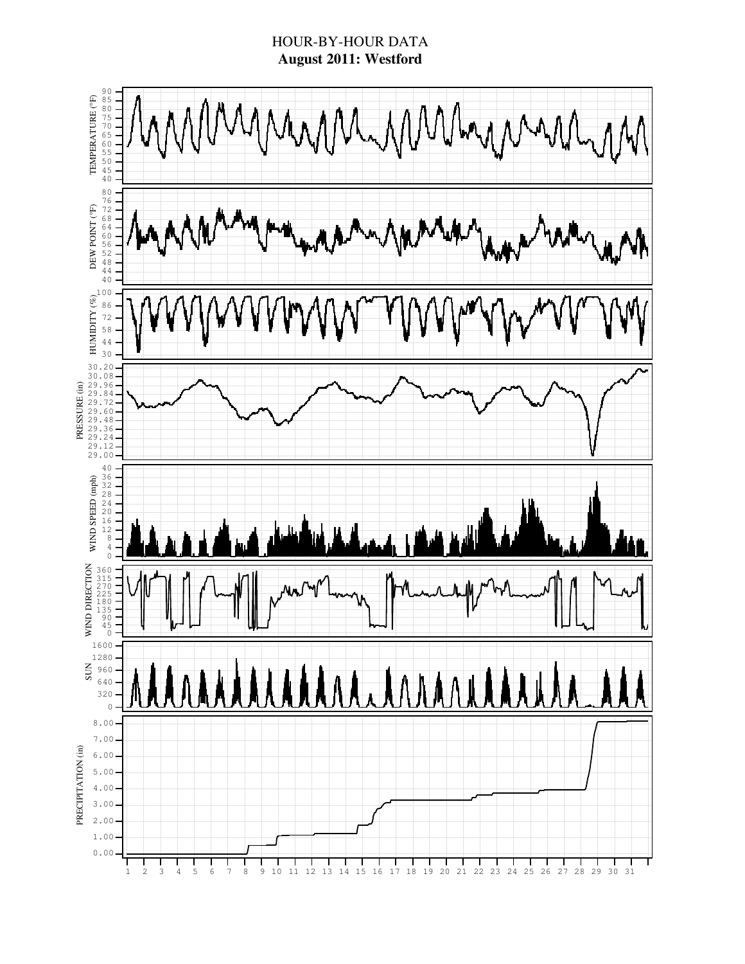### HOUR-BY-HOUR DATA **August 2011: Westford**